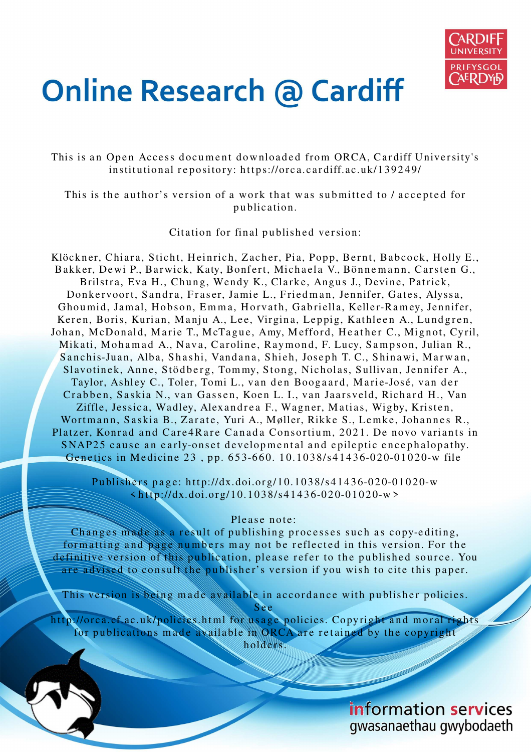

# **Online Research @ Cardiff**

This is an Open Access document downloaded from ORCA, Cardiff University's institutional repository: https://orca.cardiff.ac.uk/139249/

This is the author's version of a work that was submitted to / accepted for p u blication.

Citation for final published version:

Klöckner, Chiara, Sticht, Heinrich, Zacher, Pia, Popp, Bernt, Babcock, Holly E., Bakker, Dewi P., Barwick, Katy, Bonfert, Michaela V., Bönnemann, Carsten G., Brilstra, Eva H., Chung, Wendy K., Clarke, Angus J., Devine, Patrick, Donkervoort, Sandra, Fraser, Jamie L., Friedman, Jennifer, Gates, Alyssa, Ghoumid, Jamal, Hobson, Emma, Horvath, Gabriella, Keller-Ramey, Jennifer, Keren, Boris, Kurian, Manju A., Lee, Virgina, Leppig, Kathleen A., Lundgren, Johan, McDonald, Marie T., McTague, Amy, Mefford, Heather C., Mignot, Cyril, Mikati, Mohamad A., Nava, Caroline, Raymond, F. Lucy, Sampson, Julian R., Sanchis-Juan, Alba, Shashi, Vandana, Shieh, Joseph T. C., Shinawi, Marwan, Slavotinek, Anne, Stödberg, Tommy, Stong, Nicholas, Sullivan, Jennifer A., Taylor, Ashley C., Toler, Tomi L., van den Boogaard, Marie-José, van der Crabben, Saskia N., van Gassen, Koen L. I., van Jaarsveld, Richard H., Van Ziffle, Jessica, Wadley, Alexandrea F., Wagner, Matias, Wigby, Kristen, Wortmann, Saskia B., Zarate, Yuri A., Møller, Rikke S., Lemke, Johannes R., Platzer, Konrad and Care4Rare Canada Consortium, 2021. De novo variants in SNAP25 cause an early-onset developmental and epileptic encephalopathy. Genetics in Medicine 23, pp. 653-660. 10.1038/s41436-020-01020-w file

Publishers page: http://dx.doi.org/10.1038/s41436-020-01020-w  $\frac{\text{th}}{\text{ttp}}$ ://dx.doi.org/10.1038/s41436-020-01020-w>

#### Please note:

Changes made as a result of publishing processes such as copy-editing, formatting and page numbers may not be reflected in this version. For the definitive version of this publication, please refer to the published source. You are advised to consult the publisher's version if you wish to cite this paper.

This version is being made available in accordance with publisher policies. S e e

http://orca.cf.ac.uk/policies.html for usage policies. Copyright and moral rights for publications made available in ORCA are retained by the copyright holders.



### information services gwasanaethau gwybodaeth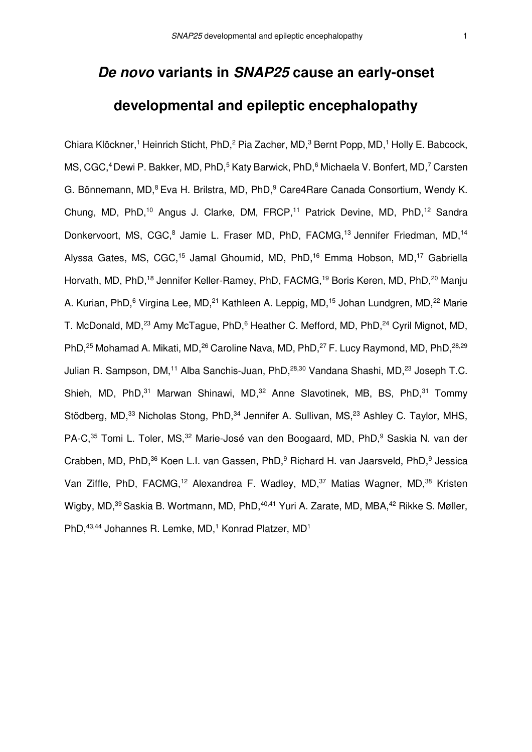## **De novo variants in SNAP25 cause an early-onset developmental and epileptic encephalopathy**

Chiara Klöckner,<sup>[1](#page-2-0)</sup> Heinrich Sticht, PhD,<sup>[2](#page-2-1)</sup> Pia Zacher, MD,<sup>[3](#page-2-2)</sup> Bernt Popp[,](#page-2-0) MD,<sup>1</sup> Holly E. Babcock, MS, CGC,<sup>4</sup> Dewi P. Bakker, MD, PhD,<sup>[5](#page-2-4)</sup> Katy Barwick, PhD,<sup>[6](#page-2-5)</sup> Michaela V. Bonfert[,](#page-2-6) MD,<sup>7</sup> Carsten G.Bönnemann, MD,<sup>8</sup> Eva H. Brilstra, MD, PhD,<sup>9</sup> Care4 Rare Canada Consortium, Wendy K. Chung, MD, PhD,[10](#page-2-9) Angus J. Clarke, DM, FRCP,[11](#page-2-10) Patrick Devine, MD, PhD,[12](#page-2-11) Sandra Donkervoort,MS, CGC,<sup>8</sup> Jamie L. Fraser MD, PhD, FACMG,<sup>[13](#page-2-12)</sup> Jennifer Friedman, MD,<sup>[14](#page-2-13)</sup> Alyssa Gates, MS, CGC,<sup>[15](#page-2-14)</sup> Jamal Ghoumid, MD, PhD,<sup>[16](#page-2-15)</sup> Emma Hobson, MD,<sup>[17](#page-2-16)</sup> Gabriella Horvath, MD, PhD,<sup>[18](#page-2-17)</sup> Jennifer Keller-Ramey, PhD, FACMG,<sup>[19](#page-2-18)</sup> Boris Keren, MD, PhD,<sup>[20](#page-2-19)</sup> Manju A. Kurian, PhD,<sup>[6](#page-2-5)</sup> Virgina Lee, MD,<sup>[21](#page-2-20)</sup> Kathleen A. Leppig, MD,<sup>[15](#page-2-14)</sup> Johan Lundgren, MD,<sup>[22](#page-2-21)</sup> Marie T. McDonald, MD,<sup>[23](#page-2-22)</sup> Amy McTague, PhD,<sup>[6](#page-2-5)</sup> Heather C. Mefford, MD, PhD,<sup>[24](#page-2-23)</sup> Cyril Mignot, MD, PhD,<sup>[25](#page-2-24)</sup> Mohamad A. Mikati, MD,<sup>[26](#page-2-25)</sup> Caroline Nava, MD, PhD,<sup>[27](#page-2-26)</sup> F. Lucy Raymond, MD, PhD,<sup>[28,](#page-2-27)[29](#page-2-28)</sup> Julian R. Sampson, DM,<sup>[11](#page-2-10)</sup> Alba Sanchis-Juan, PhD, [28,](#page-2-27)[30](#page-2-29) Vandana Shashi, MD, [23](#page-2-22) Joseph T.C. Shieh, MD, PhD,<sup>[31](#page-2-30)</sup> Marwan Shinawi, MD,<sup>[32](#page-2-31)</sup> Anne Slavotinek, MB, BS, PhD,<sup>31</sup> Tommy Stödberg, MD,<sup>[33](#page-2-32)</sup> Nicholas Stong, PhD,<sup>[34](#page-2-33)</sup> Jennifer A, Sullivan, MS,<sup>[23](#page-2-22)</sup> Ashley C, Taylor, MHS, PA-C,<sup>[35](#page-2-34)</sup> Tomi L. Toler, MS,<sup>[32](#page-2-31)</sup> Marie-José van den Boogaard, MD, PhD,<sup>[9](#page-2-8)</sup> Saskia N. van der Crabben, MD, PhD,<sup>[36](#page-2-35)</sup>Koen L.I. van Gassen, PhD,<sup>9</sup> Richard H. van Jaarsveld, PhD,<sup>9</sup> Jessica Van Ziffle, PhD, FACMG,<sup>[12](#page-2-11)</sup> Alexandrea F. Wadley, MD,<sup>[37](#page-2-36)</sup> Matias Wagner, MD,<sup>[38](#page-2-37)</sup> Kristen Wigby, MD,<sup>[39](#page-3-0)</sup> Saskia B. Wortmann, MD, PhD,<sup>[40,](#page-3-1)[41](#page-3-2)</sup> Yuri A. Zarate, MD, MBA,<sup>[42](#page-3-3)</sup> Rikke S. Møller, PhD,<sup>[43](#page-3-4)[,44](#page-3-5)</sup> Johannes R. Lemke, MD,<sup>[1](#page-2-0)</sup> Konrad Platzer, MD<sup>1</sup>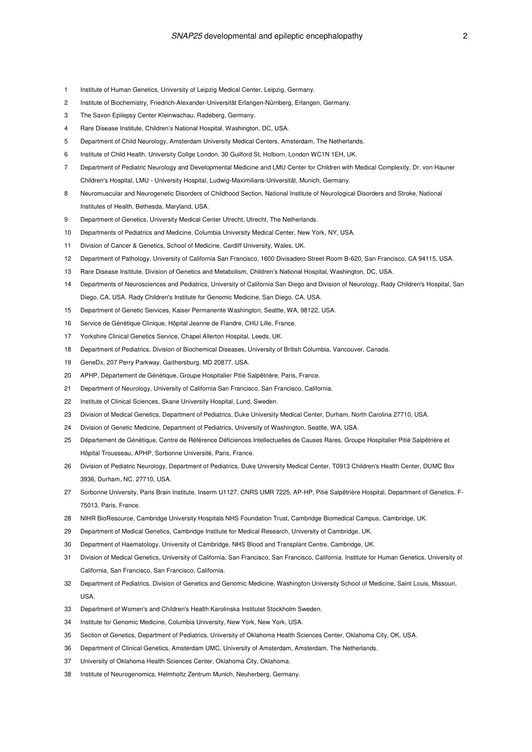- <span id="page-2-0"></span>1 Institute of Human Genetics, University of Leipzig Medical Center, Leipzig, Germany.
- <span id="page-2-1"></span>Institute of Biochemistry, Friedrich-Alexander-Universität Erlangen-Nürnberg, Erlangen, Germany.
- <span id="page-2-2"></span>The Saxon Epilepsy Center Kleinwachau, Radeberg, Germany.
- <span id="page-2-3"></span>Rare Disease Institute, Children's National Hospital, Washington, DC, USA.
- <span id="page-2-4"></span>Department of Child Neurology, Amsterdam University Medical Centers, Amsterdam, The Netherlands.
- <span id="page-2-5"></span>Institute of Child Health, University Collge London, 30 Guilford St, Holborn, London WC1N 1EH, UK.
- <span id="page-2-6"></span> Department of Pediatric Neurology and Developmental Medicine and LMU Center for Children with Medical Complexity, Dr. von Hauner Children's Hospital, LMU - University Hospital, Ludwig-Maximilians-Universität, Munich, Germany.
- <span id="page-2-7"></span> Neuromuscular and Neurogenetic Disorders of Childhood Section, National Institute of Neurological Disorders and Stroke, National Institutes of Health, Bethesda, Maryland, USA.
- <span id="page-2-8"></span>Department of Genetics, University Medical Center Utrecht, Utrecht, The Netherlands.
- <span id="page-2-9"></span>Departments of Pediatrics and Medicine, Columbia University Medical Center, New York, NY, USA.
- <span id="page-2-10"></span>Division of Cancer & Genetics, School of Medicine, Cardiff University, Wales, UK.
- <span id="page-2-11"></span>Department of Pathology, University of California San Francisco, 1600 Divisadero Street Room B-620, San Francisco, CA 94115, USA.
- <span id="page-2-12"></span>Rare Disease Institute, Division of Genetics and Metabolism, Children's National Hospital, Washington, DC, USA.
- <span id="page-2-13"></span> Departments of Neurosciences and Pediatrics, University of California San Diego and Division of Neurology, Rady Children's Hospital, San Diego, CA, USA. Rady Children's Institute for Genomic Medicine, San Diego, CA, USA.
- <span id="page-2-14"></span>Department of Genetic Services, Kaiser Permanente Washington, Seattle, WA, 98122, USA.
- <span id="page-2-15"></span>Service de Génétique Clinique, Hôpital Jeanne de Flandre, CHU Lille, France.
- <span id="page-2-16"></span>Yorkshire Clinical Genetics Service, Chapel Allerton Hospital, Leeds, UK.
- <span id="page-2-17"></span>Department of Pediatrics, Division of Biochemical Diseases, University of British Columbia, Vancouver, Canada.
- <span id="page-2-18"></span>GeneDx, 207 Perry Parkway, Gaithersburg, MD 20877, USA.
- <span id="page-2-19"></span>20 APHP, Département de Génétique, Groupe Hospitalier Pitié Salpêtrière, Paris, France.
- <span id="page-2-20"></span>Department of Neurology, University of California San Francisco, San Francisco, California.
- <span id="page-2-21"></span>Institute of Clinical Sciences, Skane University Hospital, Lund, Sweden.
- <span id="page-2-22"></span>Division of Medical Genetics, Department of Pediatrics, Duke University Medical Center, Durham, North Carolina 27710, USA.
- <span id="page-2-23"></span>Division of Genetic Medicine, Department of Pediatrics, University of Washington, Seattle, WA, USA.
- <span id="page-2-24"></span> Département de Génétique, Centre de Référence Déficiences Intellectuelles de Causes Rares, Groupe Hospitalier Pitié Salpêtrière et Hôpital Trousseau, APHP, Sorbonne Université, Paris, France.
- <span id="page-2-25"></span> Division of Pediatric Neurology, Department of Pediatrics, Duke University Medical Center, T0913 Children's Health Center, DUMC Box 3936, Durham, NC, 27710, USA.
- <span id="page-2-26"></span> Sorbonne University, Paris Brain Institute, Inserm U1127, CNRS UMR 7225, AP-HP, Pitié Salpêtrière Hospital, Department of Genetics, F-75013, Paris, France.
- <span id="page-2-27"></span>NIHR BioResource, Cambridge University Hospitals NHS Foundation Trust, Cambridge Biomedical Campus, Cambridge, UK.
- <span id="page-2-28"></span>Department of Medical Genetics, Cambridge Institute for Medical Research, University of Cambridge, UK.
- <span id="page-2-29"></span>Department of Haematology, University of Cambridge, NHS Blood and Transplant Centre, Cambridge, UK.
- <span id="page-2-30"></span> Division of Medical Genetics, University of California, San Francisco, San Francisco, California. Institute for Human Genetics, University of California, San Francisco, San Francisco, California.
- <span id="page-2-31"></span> Department of Pediatrics, Division of Genetics and Genomic Medicine, Washington University School of Medicine, Saint Louis, Missouri, **USA**
- <span id="page-2-32"></span>Department of Women's and Children's Health Karolinska Institutet Stockholm Sweden.
- <span id="page-2-33"></span>Institute for Genomic Medicine, Columbia University, New York, New York, USA.
- <span id="page-2-34"></span>Section of Genetics, Department of Pediatrics, University of Oklahoma Health Sciences Center, Oklahoma City, OK, USA.
- <span id="page-2-35"></span>Department of Clinical Genetics, Amsterdam UMC, University of Amsterdam, Amsterdam, The Netherlands.
- <span id="page-2-36"></span>University of Oklahoma Health Sciences Center, Oklahoma City, Oklahoma.
- <span id="page-2-37"></span>Institute of Neurogenomics, Helmholtz Zentrum Munich, Neuherberg, Germany.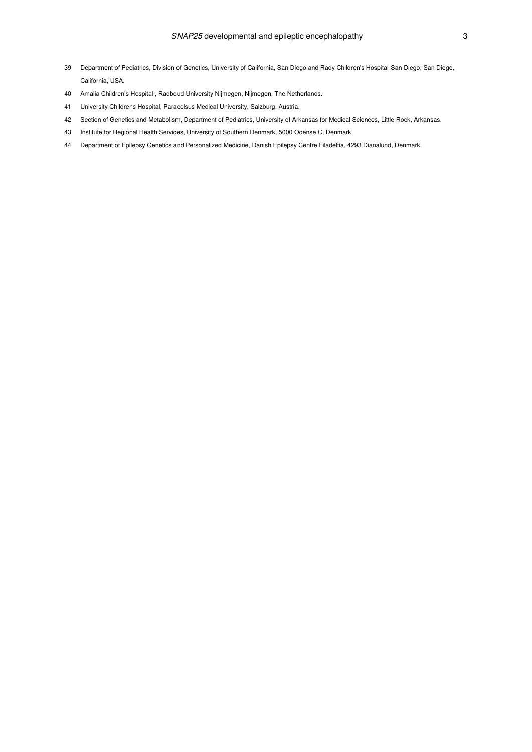- <span id="page-3-0"></span> Department of Pediatrics, Division of Genetics, University of California, San Diego and Rady Children's Hospital-San Diego, San Diego, California, USA.
- <span id="page-3-1"></span>Amalia Children's Hospital , Radboud University Nijmegen, Nijmegen, The Netherlands.
- <span id="page-3-2"></span>University Childrens Hospital, Paracelsus Medical University, Salzburg, Austria.
- <span id="page-3-3"></span>Section of Genetics and Metabolism, Department of Pediatrics, University of Arkansas for Medical Sciences, Little Rock, Arkansas.
- <span id="page-3-4"></span>Institute for Regional Health Services, University of Southern Denmark, 5000 Odense C, Denmark.
- <span id="page-3-5"></span>Department of Epilepsy Genetics and Personalized Medicine, Danish Epilepsy Centre Filadelfia, 4293 Dianalund, Denmark.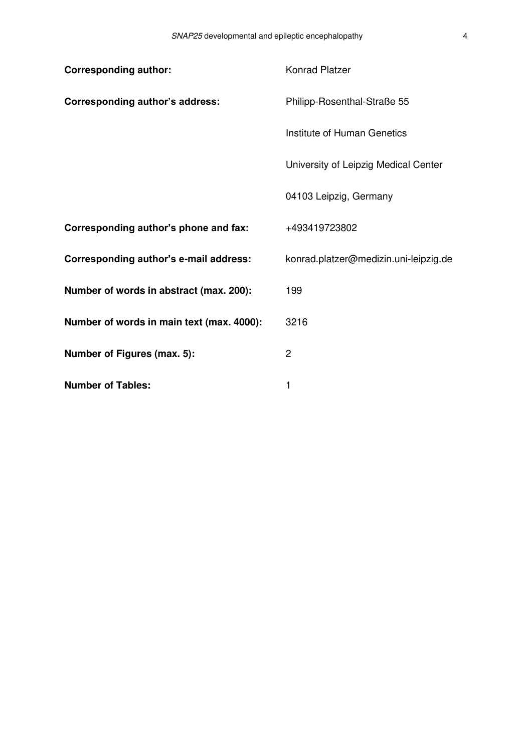| <b>Corresponding author:</b>              | <b>Konrad Platzer</b>                 |
|-------------------------------------------|---------------------------------------|
| <b>Corresponding author's address:</b>    | Philipp-Rosenthal-Straße 55           |
|                                           | Institute of Human Genetics           |
|                                           | University of Leipzig Medical Center  |
|                                           | 04103 Leipzig, Germany                |
| Corresponding author's phone and fax:     | +493419723802                         |
| Corresponding author's e-mail address:    | konrad.platzer@medizin.uni-leipzig.de |
| Number of words in abstract (max. 200):   | 199                                   |
| Number of words in main text (max. 4000): | 3216                                  |
| Number of Figures (max. 5):               | $\overline{2}$                        |
| <b>Number of Tables:</b>                  | 1                                     |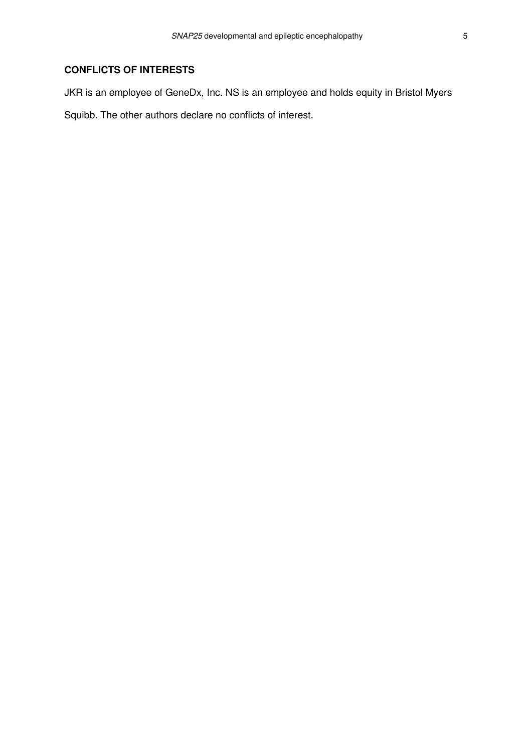#### **CONFLICTS OF INTERESTS**

JKR is an employee of GeneDx, Inc. NS is an employee and holds equity in Bristol Myers

Squibb. The other authors declare no conflicts of interest.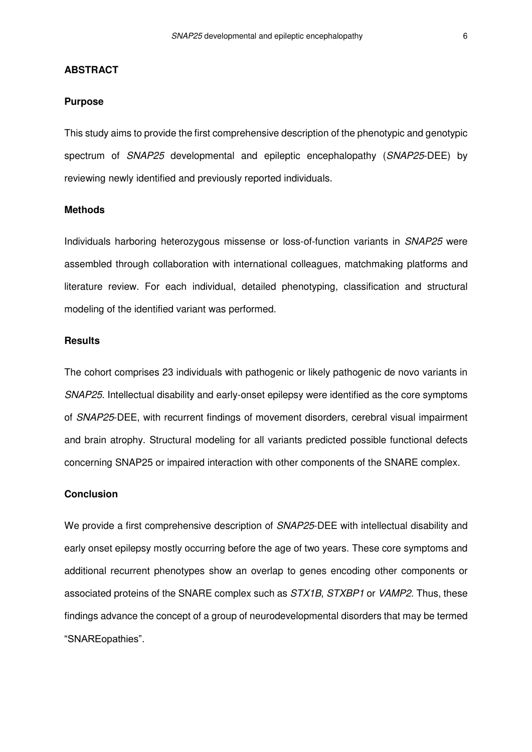#### **ABSTRACT**

#### **Purpose**

This study aims to provide the first comprehensive description of the phenotypic and genotypic spectrum of SNAP25 developmental and epileptic encephalopathy (SNAP25-DEE) by reviewing newly identified and previously reported individuals.

#### **Methods**

Individuals harboring heterozygous missense or loss-of-function variants in SNAP25 were assembled through collaboration with international colleagues, matchmaking platforms and literature review. For each individual, detailed phenotyping, classification and structural modeling of the identified variant was performed.

#### **Results**

The cohort comprises 23 individuals with pathogenic or likely pathogenic de novo variants in SNAP25. Intellectual disability and early-onset epilepsy were identified as the core symptoms of SNAP25-DEE, with recurrent findings of movement disorders, cerebral visual impairment and brain atrophy. Structural modeling for all variants predicted possible functional defects concerning SNAP25 or impaired interaction with other components of the SNARE complex.

#### **Conclusion**

We provide a first comprehensive description of SNAP25-DEE with intellectual disability and early onset epilepsy mostly occurring before the age of two years. These core symptoms and additional recurrent phenotypes show an overlap to genes encoding other components or associated proteins of the SNARE complex such as  $STX1B$ ,  $STXBP1$  or *VAMP2*. Thus, these findings advance the concept of a group of neurodevelopmental disorders that may be termed "SNAREopathies".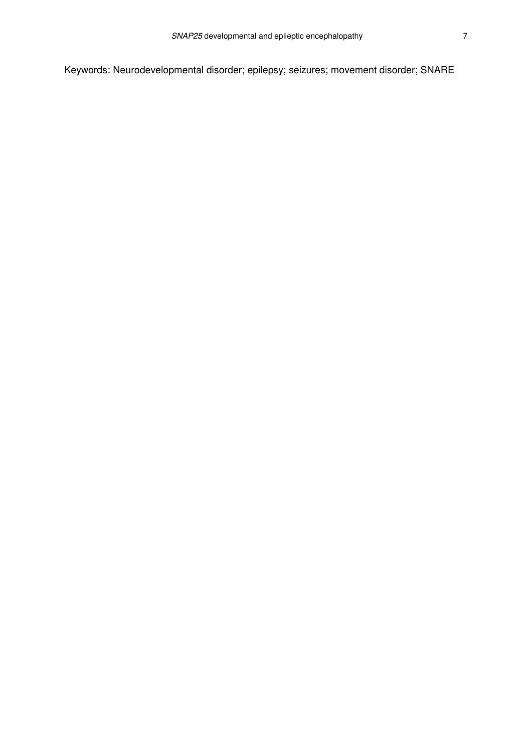Keywords: Neurodevelopmental disorder; epilepsy; seizures; movement disorder; SNARE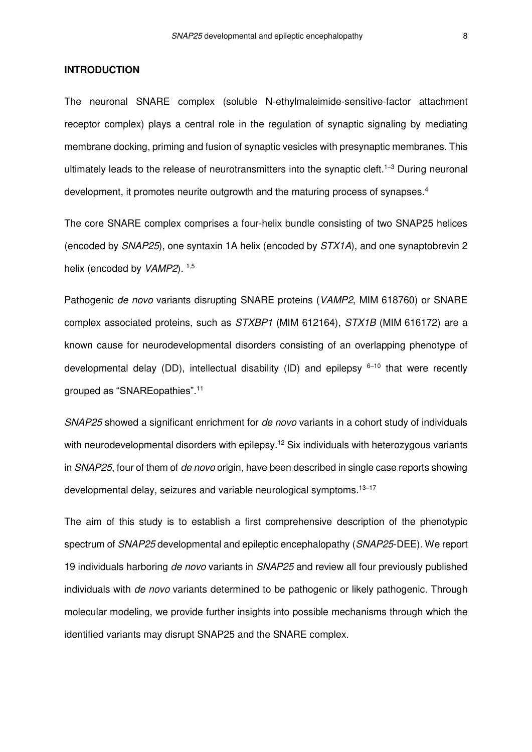#### **INTRODUCTION**

The neuronal SNARE complex (soluble N-ethylmaleimide-sensitive-factor attachment receptor complex) plays a central role in the regulation of synaptic signaling by mediating membrane docking, priming and fusion of synaptic vesicles with presynaptic membranes. This ultimately leads to the release of neurotransmitters into the synaptic cleft.<sup>1-3</sup> During neuronal development, it promotes neurite outgrowth and the maturing process of synapses.<sup>4</sup>

The core SNARE complex comprises a four-helix bundle consisting of two SNAP25 helices (encoded by SNAP25), one syntaxin 1A helix (encoded by STX1A), and one synaptobrevin 2 helix (encoded by VAMP2). <sup>1,5</sup>

Pathogenic de novo variants disrupting SNARE proteins (VAMP2, MIM 618760) or SNARE complex associated proteins, such as STXBP1 (MIM 612164), STX1B (MIM 616172) are a known cause for neurodevelopmental disorders consisting of an overlapping phenotype of developmental delay (DD), intellectual disability (ID) and epilepsy  $6-10$  that were recently grouped as "SNAREopathies".<sup>11</sup>

SNAP25 showed a significant enrichment for de novo variants in a cohort study of individuals with neurodevelopmental disorders with epilepsy.<sup>12</sup> Six individuals with heterozygous variants in SNAP25, four of them of de novo origin, have been described in single case reports showing developmental delay, seizures and variable neurological symptoms.<sup>13</sup>–<sup>17</sup>

The aim of this study is to establish a first comprehensive description of the phenotypic spectrum of SNAP25 developmental and epileptic encephalopathy (SNAP25-DEE). We report 19 individuals harboring de novo variants in SNAP25 and review all four previously published individuals with *de novo* variants determined to be pathogenic or likely pathogenic. Through molecular modeling, we provide further insights into possible mechanisms through which the identified variants may disrupt SNAP25 and the SNARE complex.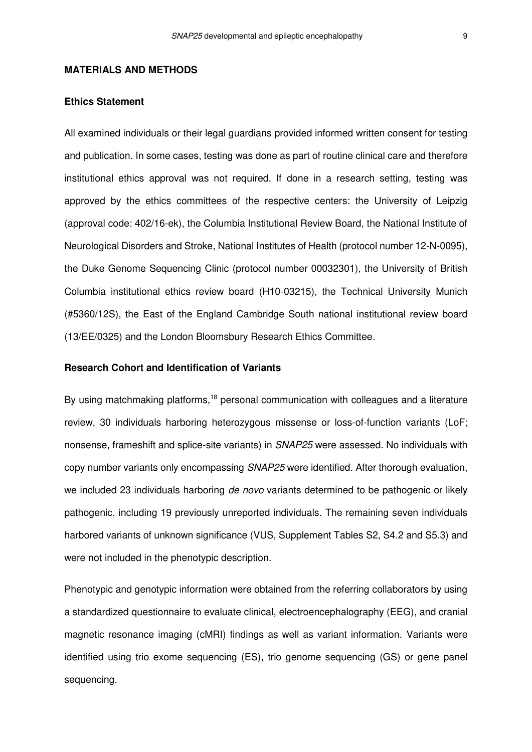#### **MATERIALS AND METHODS**

#### **Ethics Statement**

All examined individuals or their legal guardians provided informed written consent for testing and publication. In some cases, testing was done as part of routine clinical care and therefore institutional ethics approval was not required. If done in a research setting, testing was approved by the ethics committees of the respective centers: the University of Leipzig (approval code: 402/16-ek), the Columbia Institutional Review Board, the National Institute of Neurological Disorders and Stroke, National Institutes of Health (protocol number 12-N-0095), the Duke Genome Sequencing Clinic (protocol number 00032301), the University of British Columbia institutional ethics review board (H10-03215), the Technical University Munich (#5360/12S), the East of the England Cambridge South national institutional review board (13/EE/0325) and the London Bloomsbury Research Ethics Committee.

#### **Research Cohort and Identification of Variants**

By using matchmaking platforms,<sup>18</sup> personal communication with colleagues and a literature review, 30 individuals harboring heterozygous missense or loss-of-function variants (LoF; nonsense, frameshift and splice-site variants) in SNAP25 were assessed. No individuals with copy number variants only encompassing SNAP25 were identified. After thorough evaluation, we included 23 individuals harboring de novo variants determined to be pathogenic or likely pathogenic, including 19 previously unreported individuals. The remaining seven individuals harbored variants of unknown significance (VUS, Supplement Tables S2, S4.2 and S5.3) and were not included in the phenotypic description.

Phenotypic and genotypic information were obtained from the referring collaborators by using a standardized questionnaire to evaluate clinical, electroencephalography (EEG), and cranial magnetic resonance imaging (cMRI) findings as well as variant information. Variants were identified using trio exome sequencing (ES), trio genome sequencing (GS) or gene panel sequencing.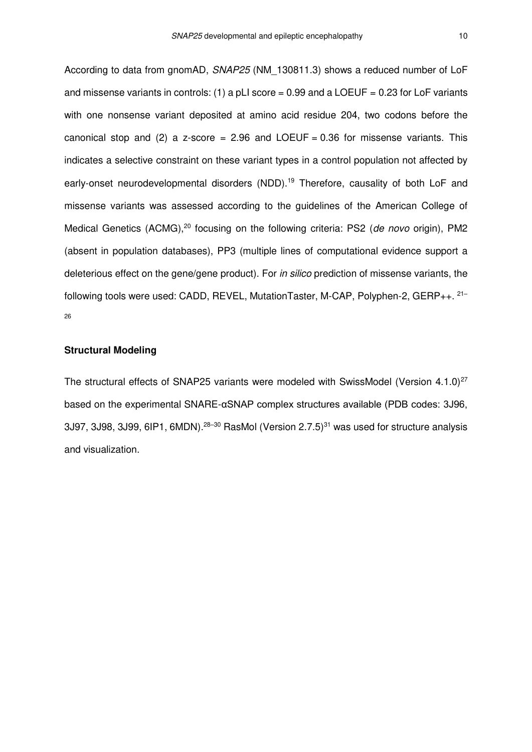According to data from gnomAD, SNAP25 (NM\_130811.3) shows a reduced number of LoF and missense variants in controls: (1) a pLI score =  $0.99$  and a LOEUF =  $0.23$  for LoF variants with one nonsense variant deposited at amino acid residue 204, two codons before the canonical stop and (2) a z-score =  $2.96$  and LOEUF = 0.36 for missense variants. This indicates a selective constraint on these variant types in a control population not affected by early-onset neurodevelopmental disorders (NDD).<sup>19</sup> Therefore, causality of both LoF and missense variants was assessed according to the guidelines of the American College of Medical Genetics (ACMG),<sup>20</sup> focusing on the following criteria: PS2 (de novo origin), PM2 (absent in population databases), PP3 (multiple lines of computational evidence support a deleterious effect on the gene/gene product). For in silico prediction of missense variants, the following tools were used: CADD, REVEL, MutationTaster, M-CAP, Polyphen-2, GERP++. <sup>21</sup>– 26

#### **Structural Modeling**

The structural effects of SNAP25 variants were modeled with SwissModel (Version 4.1.0)<sup>27</sup> based on the experimental SNARE-αSNAP complex structures available (PDB codes: 3J96, 3J97, 3J98, 3J99, 6IP1, 6MDN).<sup>28-30</sup> RasMol (Version 2.7.5)<sup>31</sup> was used for structure analysis and visualization.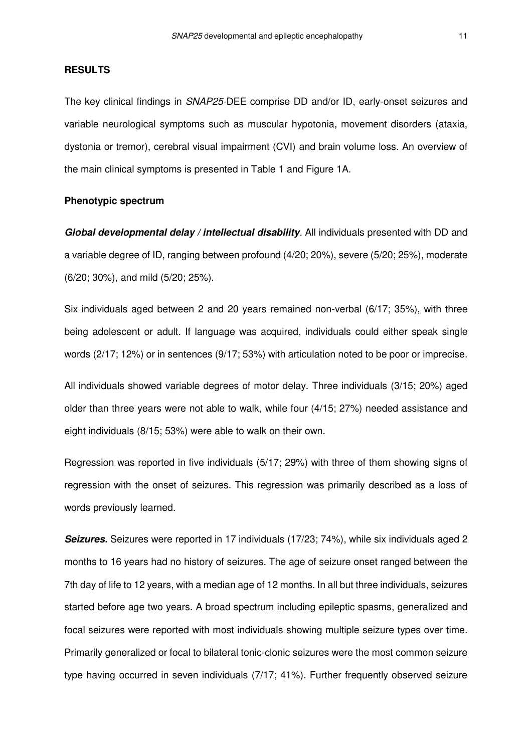#### **RESULTS**

The key clinical findings in SNAP25-DEE comprise DD and/or ID, early-onset seizures and variable neurological symptoms such as muscular hypotonia, movement disorders (ataxia, dystonia or tremor), cerebral visual impairment (CVI) and brain volume loss. An overview of the main clinical symptoms is presented in Table 1 and Figure 1A.

#### **Phenotypic spectrum**

**Global developmental delay / intellectual disability**. All individuals presented with DD and a variable degree of ID, ranging between profound (4/20; 20%), severe (5/20; 25%), moderate (6/20; 30%), and mild (5/20; 25%).

Six individuals aged between 2 and 20 years remained non-verbal (6/17; 35%), with three being adolescent or adult. If language was acquired, individuals could either speak single words (2/17; 12%) or in sentences (9/17; 53%) with articulation noted to be poor or imprecise.

All individuals showed variable degrees of motor delay. Three individuals (3/15; 20%) aged older than three years were not able to walk, while four (4/15; 27%) needed assistance and eight individuals (8/15; 53%) were able to walk on their own.

Regression was reported in five individuals (5/17; 29%) with three of them showing signs of regression with the onset of seizures. This regression was primarily described as a loss of words previously learned.

**Seizures.** Seizures were reported in 17 individuals (17/23; 74%), while six individuals aged 2 months to 16 years had no history of seizures. The age of seizure onset ranged between the 7th day of life to 12 years, with a median age of 12 months. In all but three individuals, seizures started before age two years. A broad spectrum including epileptic spasms, generalized and focal seizures were reported with most individuals showing multiple seizure types over time. Primarily generalized or focal to bilateral tonic-clonic seizures were the most common seizure type having occurred in seven individuals (7/17; 41%). Further frequently observed seizure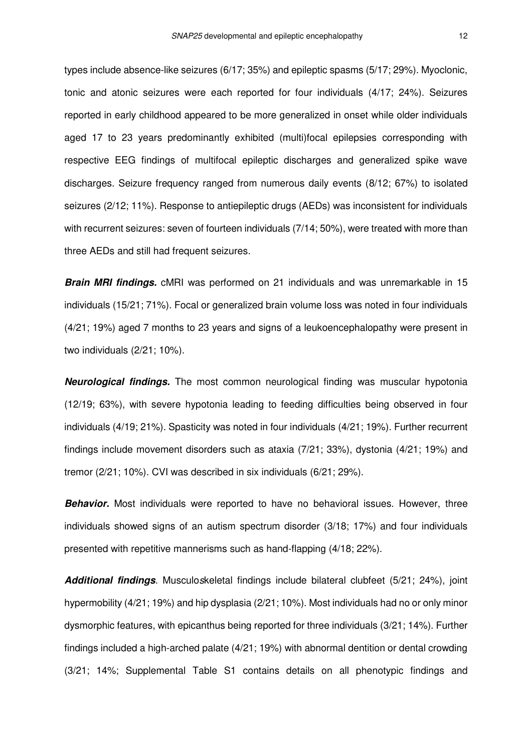types include absence-like seizures (6/17; 35%) and epileptic spasms (5/17; 29%). Myoclonic, tonic and atonic seizures were each reported for four individuals (4/17; 24%). Seizures reported in early childhood appeared to be more generalized in onset while older individuals aged 17 to 23 years predominantly exhibited (multi)focal epilepsies corresponding with respective EEG findings of multifocal epileptic discharges and generalized spike wave discharges. Seizure frequency ranged from numerous daily events (8/12; 67%) to isolated seizures (2/12; 11%). Response to antiepileptic drugs (AEDs) was inconsistent for individuals with recurrent seizures: seven of fourteen individuals (7/14; 50%), were treated with more than three AEDs and still had frequent seizures.

**Brain MRI findings.** cMRI was performed on 21 individuals and was unremarkable in 15 individuals (15/21; 71%). Focal or generalized brain volume loss was noted in four individuals (4/21; 19%) aged 7 months to 23 years and signs of a leukoencephalopathy were present in two individuals (2/21; 10%).

**Neurological findings.** The most common neurological finding was muscular hypotonia (12/19; 63%), with severe hypotonia leading to feeding difficulties being observed in four individuals (4/19; 21%). Spasticity was noted in four individuals (4/21; 19%). Further recurrent findings include movement disorders such as ataxia (7/21; 33%), dystonia (4/21; 19%) and tremor (2/21; 10%). CVI was described in six individuals (6/21; 29%).

**Behavior.** Most individuals were reported to have no behavioral issues. However, three individuals showed signs of an autism spectrum disorder (3/18; 17%) and four individuals presented with repetitive mannerisms such as hand-flapping (4/18; 22%).

**Additional findings**. Musculoskeletal findings include bilateral clubfeet (5/21; 24%), joint hypermobility (4/21; 19%) and hip dysplasia (2/21; 10%). Most individuals had no or only minor dysmorphic features, with epicanthus being reported for three individuals (3/21; 14%). Further findings included a high-arched palate (4/21; 19%) with abnormal dentition or dental crowding (3/21; 14%; Supplemental Table S1 contains details on all phenotypic findings and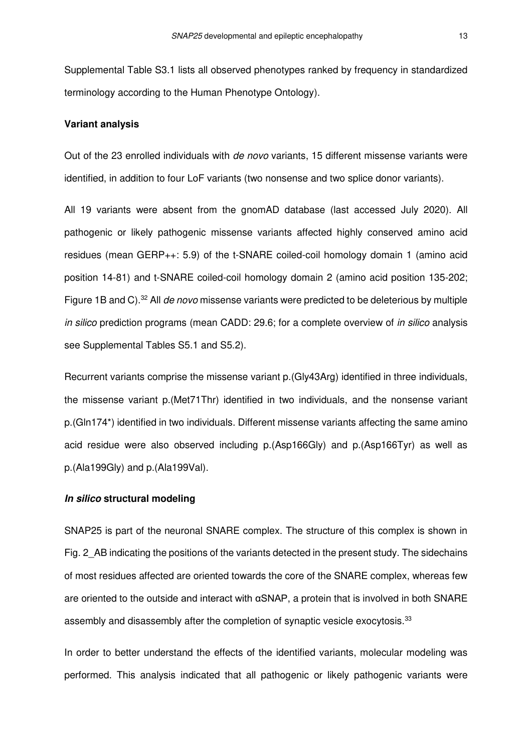Supplemental Table S3.1 lists all observed phenotypes ranked by frequency in standardized terminology according to the Human Phenotype Ontology).

#### **Variant analysis**

Out of the 23 enrolled individuals with *de novo* variants, 15 different missense variants were identified, in addition to four LoF variants (two nonsense and two splice donor variants).

All 19 variants were absent from the gnomAD database (last accessed July 2020). All pathogenic or likely pathogenic missense variants affected highly conserved amino acid residues (mean GERP++: 5.9) of the t-SNARE coiled-coil homology domain 1 (amino acid position 14-81) and t-SNARE coiled-coil homology domain 2 (amino acid position 135-202; Figure 1B and C).<sup>32</sup> All *de novo* missense variants were predicted to be deleterious by multiple in silico prediction programs (mean CADD: 29.6; for a complete overview of in silico analysis see Supplemental Tables S5.1 and S5.2).

Recurrent variants comprise the missense variant p.(Gly43Arg) identified in three individuals, the missense variant p.(Met71Thr) identified in two individuals, and the nonsense variant p.(Gln174\*) identified in two individuals. Different missense variants affecting the same amino acid residue were also observed including p.(Asp166Gly) and p.(Asp166Tyr) as well as p.(Ala199Gly) and p.(Ala199Val).

#### **In silico structural modeling**

SNAP25 is part of the neuronal SNARE complex. The structure of this complex is shown in Fig. 2\_AB indicating the positions of the variants detected in the present study. The sidechains of most residues affected are oriented towards the core of the SNARE complex, whereas few are oriented to the outside and interact with αSNAP, a protein that is involved in both SNARE assembly and disassembly after the completion of synaptic vesicle exocytosis.<sup>33</sup>

In order to better understand the effects of the identified variants, molecular modeling was performed. This analysis indicated that all pathogenic or likely pathogenic variants were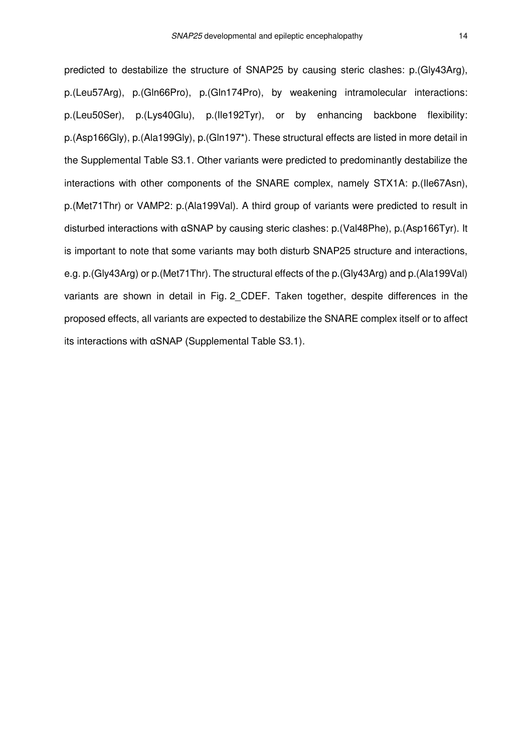predicted to destabilize the structure of SNAP25 by causing steric clashes: p.(Gly43Arg), p.(Leu57Arg), p.(Gln66Pro), p.(Gln174Pro), by weakening intramolecular interactions: p.(Leu50Ser), p.(Lys40Glu), p.(Ile192Tyr), or by enhancing backbone flexibility: p.(Asp166Gly), p.(Ala199Gly), p.(Gln197\*). These structural effects are listed in more detail in the Supplemental Table S3.1. Other variants were predicted to predominantly destabilize the interactions with other components of the SNARE complex, namely STX1A: p.(Ile67Asn), p.(Met71Thr) or VAMP2: p.(Ala199Val). A third group of variants were predicted to result in disturbed interactions with αSNAP by causing steric clashes: p.(Val48Phe), p.(Asp166Tyr). It is important to note that some variants may both disturb SNAP25 structure and interactions, e.g. p.(Gly43Arg) or p.(Met71Thr). The structural effects of the p.(Gly43Arg) and p.(Ala199Val) variants are shown in detail in Fig. 2\_CDEF. Taken together, despite differences in the proposed effects, all variants are expected to destabilize the SNARE complex itself or to affect its interactions with αSNAP (Supplemental Table S3.1).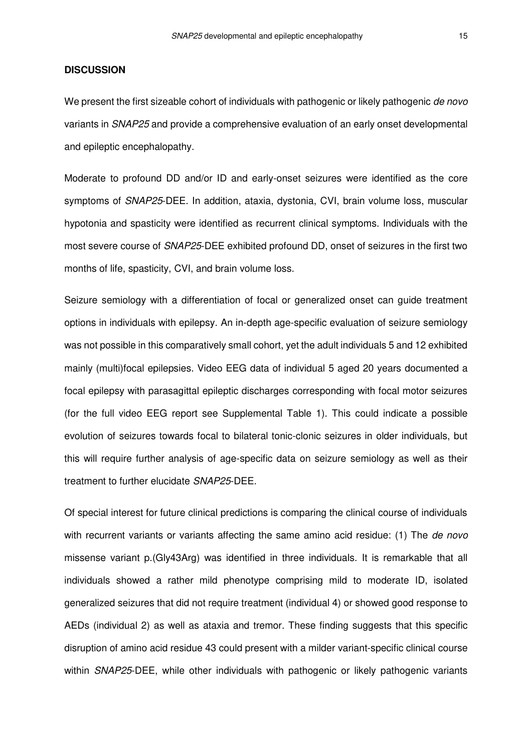#### **DISCUSSION**

We present the first sizeable cohort of individuals with pathogenic or likely pathogenic de novo variants in SNAP25 and provide a comprehensive evaluation of an early onset developmental and epileptic encephalopathy.

Moderate to profound DD and/or ID and early-onset seizures were identified as the core symptoms of *SNAP25-DEE*. In addition, ataxia, dystonia, CVI, brain volume loss, muscular hypotonia and spasticity were identified as recurrent clinical symptoms. Individuals with the most severe course of SNAP25-DEE exhibited profound DD, onset of seizures in the first two months of life, spasticity, CVI, and brain volume loss.

Seizure semiology with a differentiation of focal or generalized onset can guide treatment options in individuals with epilepsy. An in-depth age-specific evaluation of seizure semiology was not possible in this comparatively small cohort, yet the adult individuals 5 and 12 exhibited mainly (multi)focal epilepsies. Video EEG data of individual 5 aged 20 years documented a focal epilepsy with parasagittal epileptic discharges corresponding with focal motor seizures (for the full video EEG report see Supplemental Table 1). This could indicate a possible evolution of seizures towards focal to bilateral tonic-clonic seizures in older individuals, but this will require further analysis of age-specific data on seizure semiology as well as their treatment to further elucidate SNAP25-DEE.

Of special interest for future clinical predictions is comparing the clinical course of individuals with recurrent variants or variants affecting the same amino acid residue: (1) The de novo missense variant p.(Gly43Arg) was identified in three individuals. It is remarkable that all individuals showed a rather mild phenotype comprising mild to moderate ID, isolated generalized seizures that did not require treatment (individual 4) or showed good response to AEDs (individual 2) as well as ataxia and tremor. These finding suggests that this specific disruption of amino acid residue 43 could present with a milder variant-specific clinical course within *SNAP25-DEE*, while other individuals with pathogenic or likely pathogenic variants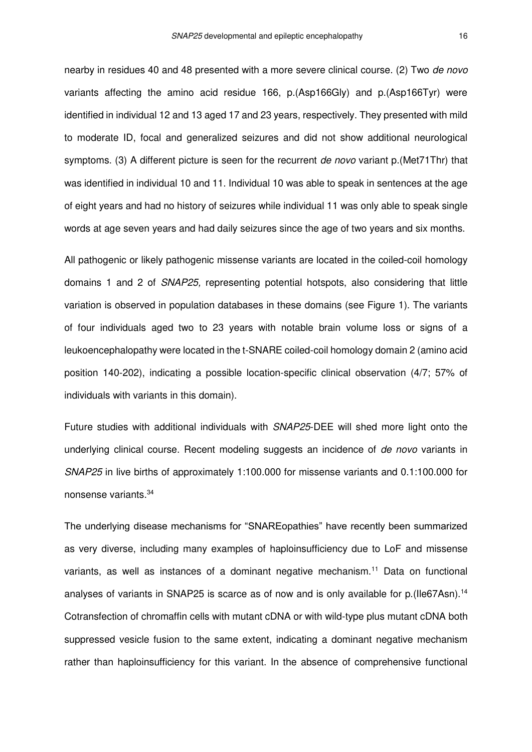nearby in residues 40 and 48 presented with a more severe clinical course. (2) Two de novo variants affecting the amino acid residue 166, p.(Asp166Gly) and p.(Asp166Tyr) were identified in individual 12 and 13 aged 17 and 23 years, respectively. They presented with mild to moderate ID, focal and generalized seizures and did not show additional neurological symptoms. (3) A different picture is seen for the recurrent de novo variant p. (Met71Thr) that was identified in individual 10 and 11. Individual 10 was able to speak in sentences at the age of eight years and had no history of seizures while individual 11 was only able to speak single words at age seven years and had daily seizures since the age of two years and six months.

All pathogenic or likely pathogenic missense variants are located in the coiled-coil homology domains 1 and 2 of SNAP25, representing potential hotspots, also considering that little variation is observed in population databases in these domains (see Figure 1). The variants of four individuals aged two to 23 years with notable brain volume loss or signs of a leukoencephalopathy were located in the t-SNARE coiled-coil homology domain 2 (amino acid position 140-202), indicating a possible location-specific clinical observation (4/7; 57% of individuals with variants in this domain).

Future studies with additional individuals with SNAP25-DEE will shed more light onto the underlying clinical course. Recent modeling suggests an incidence of de novo variants in SNAP25 in live births of approximately 1:100.000 for missense variants and 0.1:100.000 for nonsense variants.<sup>34</sup>

The underlying disease mechanisms for "SNAREopathies" have recently been summarized as very diverse, including many examples of haploinsufficiency due to LoF and missense variants, as well as instances of a dominant negative mechanism.<sup>11</sup> Data on functional analyses of variants in SNAP25 is scarce as of now and is only available for p. (Ile67Asn).<sup>14</sup> Cotransfection of chromaffin cells with mutant cDNA or with wild-type plus mutant cDNA both suppressed vesicle fusion to the same extent, indicating a dominant negative mechanism rather than haploinsufficiency for this variant. In the absence of comprehensive functional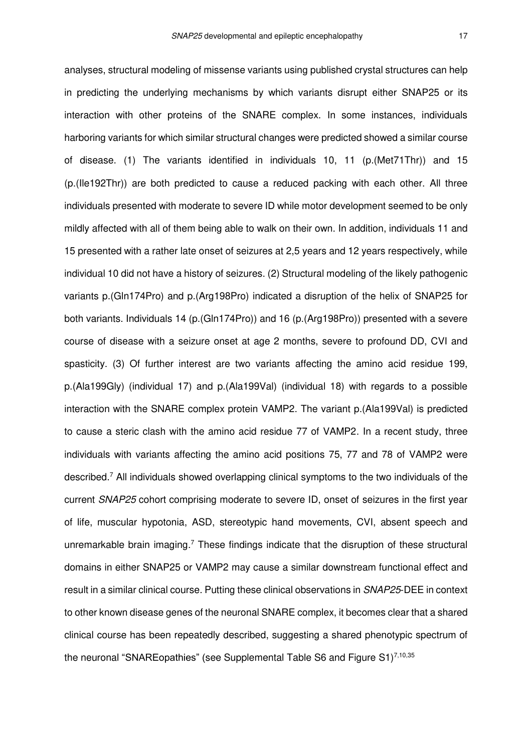analyses, structural modeling of missense variants using published crystal structures can help in predicting the underlying mechanisms by which variants disrupt either SNAP25 or its interaction with other proteins of the SNARE complex. In some instances, individuals harboring variants for which similar structural changes were predicted showed a similar course of disease. (1) The variants identified in individuals 10, 11 (p.(Met71Thr)) and 15 (p.(Ile192Thr)) are both predicted to cause a reduced packing with each other. All three individuals presented with moderate to severe ID while motor development seemed to be only mildly affected with all of them being able to walk on their own. In addition, individuals 11 and 15 presented with a rather late onset of seizures at 2,5 years and 12 years respectively, while individual 10 did not have a history of seizures. (2) Structural modeling of the likely pathogenic variants p.(Gln174Pro) and p.(Arg198Pro) indicated a disruption of the helix of SNAP25 for both variants. Individuals 14 (p.(Gln174Pro)) and 16 (p.(Arg198Pro)) presented with a severe course of disease with a seizure onset at age 2 months, severe to profound DD, CVI and spasticity. (3) Of further interest are two variants affecting the amino acid residue 199, p.(Ala199Gly) (individual 17) and p.(Ala199Val) (individual 18) with regards to a possible interaction with the SNARE complex protein VAMP2. The variant p.(Ala199Val) is predicted to cause a steric clash with the amino acid residue 77 of VAMP2. In a recent study, three individuals with variants affecting the amino acid positions 75, 77 and 78 of VAMP2 were described.<sup>7</sup> All individuals showed overlapping clinical symptoms to the two individuals of the current SNAP25 cohort comprising moderate to severe ID, onset of seizures in the first year of life, muscular hypotonia, ASD, stereotypic hand movements, CVI, absent speech and unremarkable brain imaging.<sup>7</sup> These findings indicate that the disruption of these structural domains in either SNAP25 or VAMP2 may cause a similar downstream functional effect and result in a similar clinical course. Putting these clinical observations in SNAP25-DEE in context to other known disease genes of the neuronal SNARE complex, it becomes clear that a shared clinical course has been repeatedly described, suggesting a shared phenotypic spectrum of the neuronal "SNAREopathies" (see Supplemental Table S6 and Figure S1)<sup>7,10,35</sup>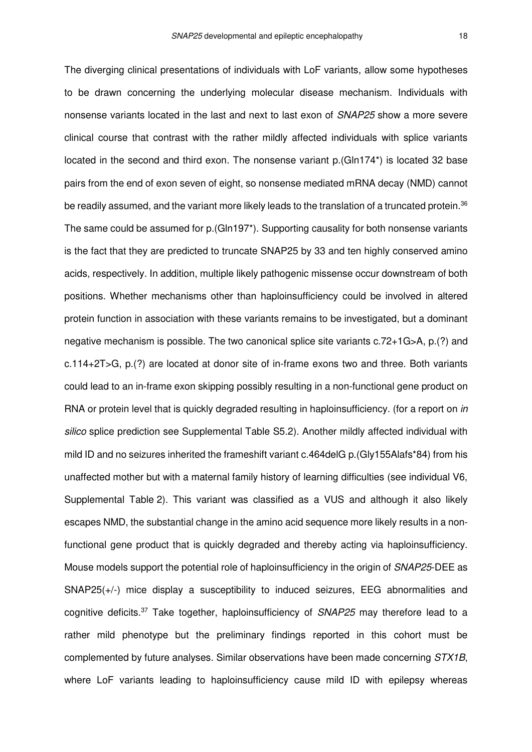The diverging clinical presentations of individuals with LoF variants, allow some hypotheses to be drawn concerning the underlying molecular disease mechanism. Individuals with nonsense variants located in the last and next to last exon of SNAP25 show a more severe clinical course that contrast with the rather mildly affected individuals with splice variants located in the second and third exon. The nonsense variant p. (Gln174\*) is located 32 base pairs from the end of exon seven of eight, so nonsense mediated mRNA decay (NMD) cannot be readily assumed, and the variant more likely leads to the translation of a truncated protein.<sup>36</sup> The same could be assumed for p.(Gln197\*). Supporting causality for both nonsense variants is the fact that they are predicted to truncate SNAP25 by 33 and ten highly conserved amino acids, respectively. In addition, multiple likely pathogenic missense occur downstream of both positions. Whether mechanisms other than haploinsufficiency could be involved in altered protein function in association with these variants remains to be investigated, but a dominant negative mechanism is possible. The two canonical splice site variants c.72+1G>A, p.(?) and c.114+2T>G, p.(?) are located at donor site of in-frame exons two and three. Both variants could lead to an in-frame exon skipping possibly resulting in a non-functional gene product on RNA or protein level that is quickly degraded resulting in haploinsufficiency. (for a report on in silico splice prediction see Supplemental Table S5.2). Another mildly affected individual with mild ID and no seizures inherited the frameshift variant c.464delG p.(Gly155Alafs\*84) from his unaffected mother but with a maternal family history of learning difficulties (see individual V6, Supplemental Table 2). This variant was classified as a VUS and although it also likely escapes NMD, the substantial change in the amino acid sequence more likely results in a nonfunctional gene product that is quickly degraded and thereby acting via haploinsufficiency. Mouse models support the potential role of haploinsufficiency in the origin of SNAP25-DEE as SNAP25(+/-) mice display a susceptibility to induced seizures, EEG abnormalities and cognitive deficits.<sup>37</sup> Take together, haploinsufficiency of SNAP25 may therefore lead to a rather mild phenotype but the preliminary findings reported in this cohort must be complemented by future analyses. Similar observations have been made concerning STX1B, where LoF variants leading to haploinsufficiency cause mild ID with epilepsy whereas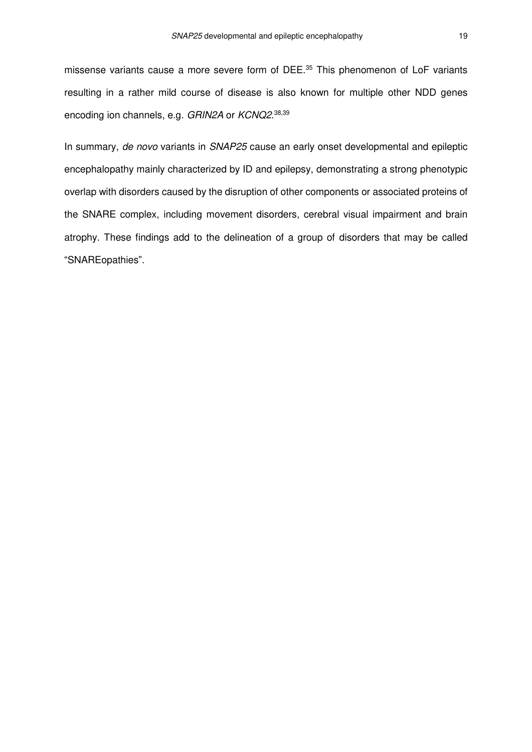missense variants cause a more severe form of DEE.<sup>35</sup> This phenomenon of LoF variants resulting in a rather mild course of disease is also known for multiple other NDD genes encoding ion channels, e.g. GRIN2A or KCNQ2.<sup>38,39</sup>

In summary, de novo variants in SNAP25 cause an early onset developmental and epileptic encephalopathy mainly characterized by ID and epilepsy, demonstrating a strong phenotypic overlap with disorders caused by the disruption of other components or associated proteins of the SNARE complex, including movement disorders, cerebral visual impairment and brain atrophy. These findings add to the delineation of a group of disorders that may be called "SNAREopathies".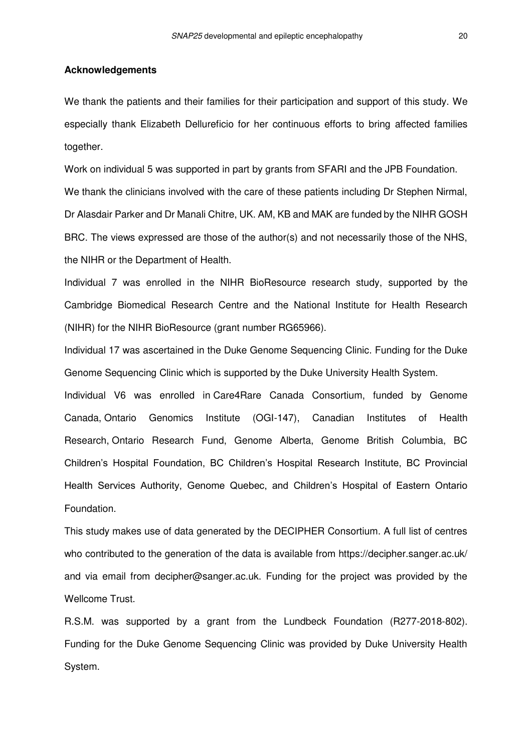#### **Acknowledgements**

We thank the patients and their families for their participation and support of this study. We especially thank Elizabeth Dellureficio for her continuous efforts to bring affected families together.

Work on individual 5 was supported in part by grants from SFARI and the JPB Foundation.

We thank the clinicians involved with the care of these patients including Dr Stephen Nirmal, Dr Alasdair Parker and Dr Manali Chitre, UK. AM, KB and MAK are funded by the NIHR GOSH BRC. The views expressed are those of the author(s) and not necessarily those of the NHS, the NIHR or the Department of Health.

Individual 7 was enrolled in the NIHR BioResource research study, supported by the Cambridge Biomedical Research Centre and the National Institute for Health Research (NIHR) for the NIHR BioResource (grant number RG65966).

Individual 17 was ascertained in the Duke Genome Sequencing Clinic. Funding for the Duke Genome Sequencing Clinic which is supported by the Duke University Health System.

Individual V6 was enrolled in Care4Rare Canada Consortium, funded by Genome Canada, Ontario Genomics Institute (OGI-147), Canadian Institutes of Health Research, Ontario Research Fund, Genome Alberta, Genome British Columbia, BC Children's Hospital Foundation, BC Children's Hospital Research Institute, BC Provincial Health Services Authority, Genome Quebec, and Children's Hospital of Eastern Ontario Foundation.

This study makes use of data generated by the DECIPHER Consortium. A full list of centres who contributed to the generation of the data is available from https://decipher.sanger.ac.uk/ and via email from decipher@sanger.ac.uk. Funding for the project was provided by the Wellcome Trust.

R.S.M. was supported by a grant from the Lundbeck Foundation (R277-2018-802). Funding for the Duke Genome Sequencing Clinic was provided by Duke University Health System.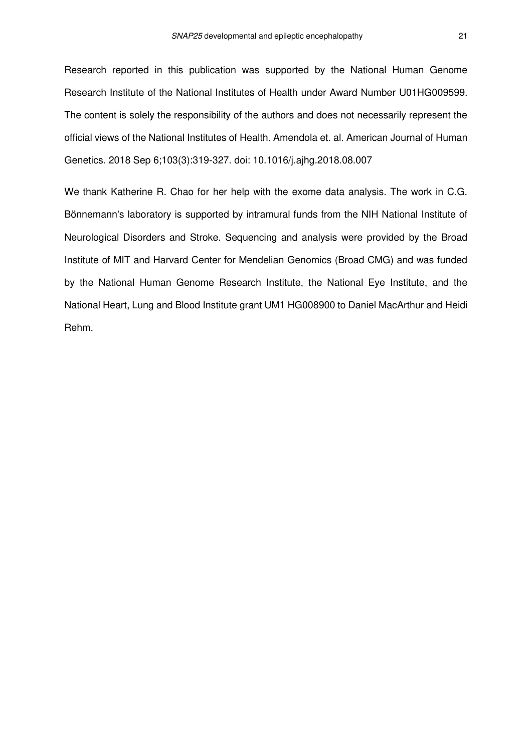Research reported in this publication was supported by the National Human Genome Research Institute of the National Institutes of Health under Award Number U01HG009599. The content is solely the responsibility of the authors and does not necessarily represent the official views of the National Institutes of Health. Amendola et. al. American Journal of Human Genetics. 2018 Sep 6;103(3):319-327. doi: 10.1016/j.ajhg.2018.08.007

We thank Katherine R. Chao for her help with the exome data analysis. The work in C.G. Bönnemann's laboratory is supported by intramural funds from the NIH National Institute of Neurological Disorders and Stroke. Sequencing and analysis were provided by the Broad Institute of MIT and Harvard Center for Mendelian Genomics (Broad CMG) and was funded by the National Human Genome Research Institute, the National Eye Institute, and the National Heart, Lung and Blood Institute grant UM1 HG008900 to Daniel MacArthur and Heidi Rehm.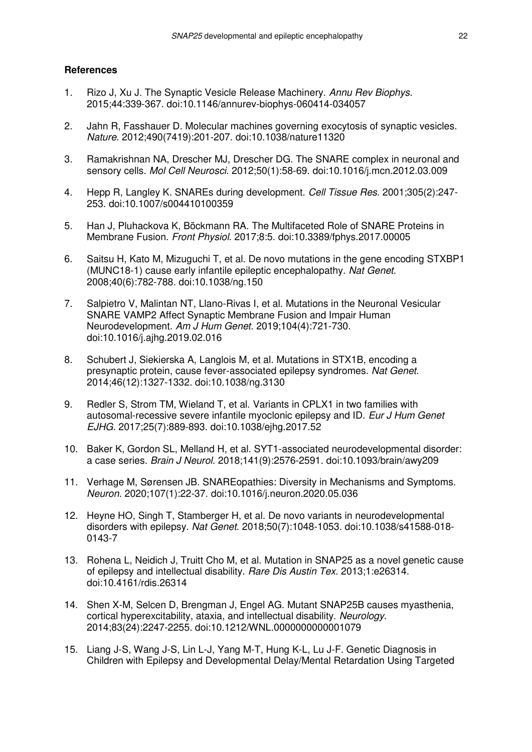#### **References**

- 1. Rizo J, Xu J. The Synaptic Vesicle Release Machinery. Annu Rev Biophys. 2015;44:339-367. doi:10.1146/annurev-biophys-060414-034057
- 2. Jahn R, Fasshauer D. Molecular machines governing exocytosis of synaptic vesicles. Nature. 2012;490(7419):201-207. doi:10.1038/nature11320
- 3. Ramakrishnan NA, Drescher MJ, Drescher DG. The SNARE complex in neuronal and sensory cells. Mol Cell Neurosci. 2012;50(1):58-69. doi:10.1016/j.mcn.2012.03.009
- 4. Hepp R, Langley K. SNAREs during development. Cell Tissue Res. 2001;305(2):247- 253. doi:10.1007/s004410100359
- 5. Han J, Pluhackova K, Böckmann RA. The Multifaceted Role of SNARE Proteins in Membrane Fusion. Front Physiol. 2017;8:5. doi:10.3389/fphys.2017.00005
- 6. Saitsu H, Kato M, Mizuguchi T, et al. De novo mutations in the gene encoding STXBP1 (MUNC18-1) cause early infantile epileptic encephalopathy. Nat Genet. 2008;40(6):782-788. doi:10.1038/ng.150
- 7. Salpietro V, Malintan NT, Llano-Rivas I, et al. Mutations in the Neuronal Vesicular SNARE VAMP2 Affect Synaptic Membrane Fusion and Impair Human Neurodevelopment. Am J Hum Genet. 2019;104(4):721-730. doi:10.1016/j.ajhg.2019.02.016
- 8. Schubert J, Siekierska A, Langlois M, et al. Mutations in STX1B, encoding a presynaptic protein, cause fever-associated epilepsy syndromes. Nat Genet. 2014;46(12):1327-1332. doi:10.1038/ng.3130
- 9. Redler S, Strom TM, Wieland T, et al. Variants in CPLX1 in two families with autosomal-recessive severe infantile myoclonic epilepsy and ID. Eur J Hum Genet EJHG. 2017;25(7):889-893. doi:10.1038/ejhg.2017.52
- 10. Baker K, Gordon SL, Melland H, et al. SYT1-associated neurodevelopmental disorder: a case series. Brain J Neurol. 2018;141(9):2576-2591. doi:10.1093/brain/awy209
- 11. Verhage M, Sørensen JB. SNAREopathies: Diversity in Mechanisms and Symptoms. Neuron. 2020;107(1):22-37. doi:10.1016/j.neuron.2020.05.036
- 12. Heyne HO, Singh T, Stamberger H, et al. De novo variants in neurodevelopmental disorders with epilepsy. Nat Genet. 2018;50(7):1048-1053. doi:10.1038/s41588-018- 0143-7
- 13. Rohena L, Neidich J, Truitt Cho M, et al. Mutation in SNAP25 as a novel genetic cause of epilepsy and intellectual disability. Rare Dis Austin Tex. 2013;1:e26314. doi:10.4161/rdis.26314
- 14. Shen X-M, Selcen D, Brengman J, Engel AG. Mutant SNAP25B causes myasthenia, cortical hyperexcitability, ataxia, and intellectual disability. Neurology. 2014;83(24):2247-2255. doi:10.1212/WNL.0000000000001079
- 15. Liang J-S, Wang J-S, Lin L-J, Yang M-T, Hung K-L, Lu J-F. Genetic Diagnosis in Children with Epilepsy and Developmental Delay/Mental Retardation Using Targeted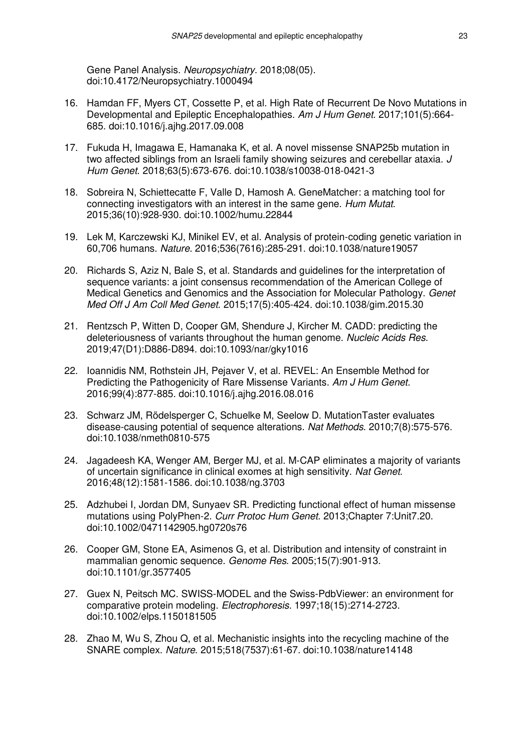Gene Panel Analysis. Neuropsychiatry. 2018;08(05). doi:10.4172/Neuropsychiatry.1000494

- 16. Hamdan FF, Myers CT, Cossette P, et al. High Rate of Recurrent De Novo Mutations in Developmental and Epileptic Encephalopathies. Am J Hum Genet. 2017;101(5):664- 685. doi:10.1016/j.ajhg.2017.09.008
- 17. Fukuda H, Imagawa E, Hamanaka K, et al. A novel missense SNAP25b mutation in two affected siblings from an Israeli family showing seizures and cerebellar ataxia. J Hum Genet. 2018;63(5):673-676. doi:10.1038/s10038-018-0421-3
- 18. Sobreira N, Schiettecatte F, Valle D, Hamosh A. GeneMatcher: a matching tool for connecting investigators with an interest in the same gene. Hum Mutat. 2015;36(10):928-930. doi:10.1002/humu.22844
- 19. Lek M, Karczewski KJ, Minikel EV, et al. Analysis of protein-coding genetic variation in 60,706 humans. Nature. 2016;536(7616):285-291. doi:10.1038/nature19057
- 20. Richards S, Aziz N, Bale S, et al. Standards and guidelines for the interpretation of sequence variants: a joint consensus recommendation of the American College of Medical Genetics and Genomics and the Association for Molecular Pathology. Genet Med Off J Am Coll Med Genet. 2015;17(5):405-424. doi:10.1038/gim.2015.30
- 21. Rentzsch P, Witten D, Cooper GM, Shendure J, Kircher M. CADD: predicting the deleteriousness of variants throughout the human genome. Nucleic Acids Res. 2019;47(D1):D886-D894. doi:10.1093/nar/gky1016
- 22. Ioannidis NM, Rothstein JH, Pejaver V, et al. REVEL: An Ensemble Method for Predicting the Pathogenicity of Rare Missense Variants. Am J Hum Genet. 2016;99(4):877-885. doi:10.1016/j.ajhg.2016.08.016
- 23. Schwarz JM, Rödelsperger C, Schuelke M, Seelow D. MutationTaster evaluates disease-causing potential of sequence alterations. Nat Methods. 2010;7(8):575-576. doi:10.1038/nmeth0810-575
- 24. Jagadeesh KA, Wenger AM, Berger MJ, et al. M-CAP eliminates a majority of variants of uncertain significance in clinical exomes at high sensitivity. Nat Genet. 2016;48(12):1581-1586. doi:10.1038/ng.3703
- 25. Adzhubei I, Jordan DM, Sunyaev SR. Predicting functional effect of human missense mutations using PolyPhen-2. Curr Protoc Hum Genet. 2013;Chapter 7:Unit7.20. doi:10.1002/0471142905.hg0720s76
- 26. Cooper GM, Stone EA, Asimenos G, et al. Distribution and intensity of constraint in mammalian genomic sequence. Genome Res. 2005;15(7):901-913. doi:10.1101/gr.3577405
- 27. Guex N, Peitsch MC. SWISS-MODEL and the Swiss-PdbViewer: an environment for comparative protein modeling. Electrophoresis. 1997;18(15):2714-2723. doi:10.1002/elps.1150181505
- 28. Zhao M, Wu S, Zhou Q, et al. Mechanistic insights into the recycling machine of the SNARE complex. Nature. 2015;518(7537):61-67. doi:10.1038/nature14148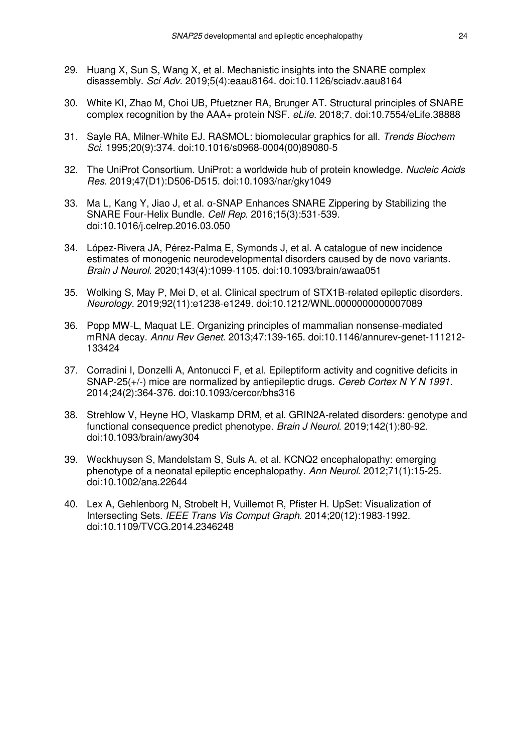- 29. Huang X, Sun S, Wang X, et al. Mechanistic insights into the SNARE complex disassembly. Sci Adv. 2019;5(4):eaau8164. doi:10.1126/sciadv.aau8164
- 30. White KI, Zhao M, Choi UB, Pfuetzner RA, Brunger AT. Structural principles of SNARE complex recognition by the AAA+ protein NSF. eLife. 2018;7. doi:10.7554/eLife.38888
- 31. Sayle RA, Milner-White EJ. RASMOL: biomolecular graphics for all. Trends Biochem Sci. 1995;20(9):374. doi:10.1016/s0968-0004(00)89080-5
- 32. The UniProt Consortium. UniProt: a worldwide hub of protein knowledge. Nucleic Acids Res. 2019;47(D1):D506-D515. doi:10.1093/nar/gky1049
- 33. Ma L, Kang Y, Jiao J, et al. α-SNAP Enhances SNARE Zippering by Stabilizing the SNARE Four-Helix Bundle. Cell Rep. 2016;15(3):531-539. doi:10.1016/j.celrep.2016.03.050
- 34. López-Rivera JA, Pérez-Palma E, Symonds J, et al. A catalogue of new incidence estimates of monogenic neurodevelopmental disorders caused by de novo variants. Brain J Neurol. 2020;143(4):1099-1105. doi:10.1093/brain/awaa051
- 35. Wolking S, May P, Mei D, et al. Clinical spectrum of STX1B-related epileptic disorders. Neurology. 2019;92(11):e1238-e1249. doi:10.1212/WNL.0000000000007089
- 36. Popp MW-L, Maquat LE. Organizing principles of mammalian nonsense-mediated mRNA decay. Annu Rev Genet. 2013;47:139-165. doi:10.1146/annurev-genet-111212- 133424
- 37. Corradini I, Donzelli A, Antonucci F, et al. Epileptiform activity and cognitive deficits in SNAP-25(+/-) mice are normalized by antiepileptic drugs. Cereb Cortex N Y N 1991. 2014;24(2):364-376. doi:10.1093/cercor/bhs316
- 38. Strehlow V, Heyne HO, Vlaskamp DRM, et al. GRIN2A-related disorders: genotype and functional consequence predict phenotype. Brain J Neurol. 2019;142(1):80-92. doi:10.1093/brain/awy304
- 39. Weckhuysen S, Mandelstam S, Suls A, et al. KCNQ2 encephalopathy: emerging phenotype of a neonatal epileptic encephalopathy. Ann Neurol. 2012;71(1):15-25. doi:10.1002/ana.22644
- 40. Lex A, Gehlenborg N, Strobelt H, Vuillemot R, Pfister H. UpSet: Visualization of Intersecting Sets. IEEE Trans Vis Comput Graph. 2014;20(12):1983-1992. doi:10.1109/TVCG.2014.2346248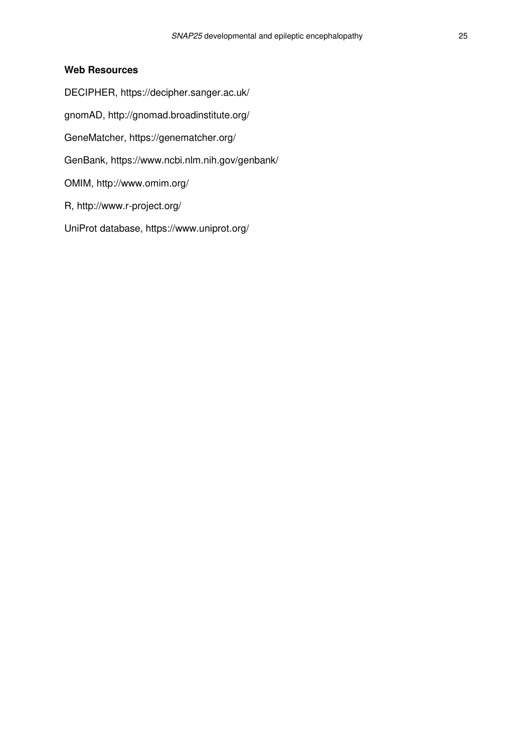#### **Web Resources**

DECIPHER, https://decipher.sanger.ac.uk/ gnomAD, http://gnomad.broadinstitute.org/ GeneMatcher, https://genematcher.org/ GenBank, https://www.ncbi.nlm.nih.gov/genbank/ OMIM, http://www.omim.org/ R, http://www.r-project.org/

UniProt database, https://www.uniprot.org/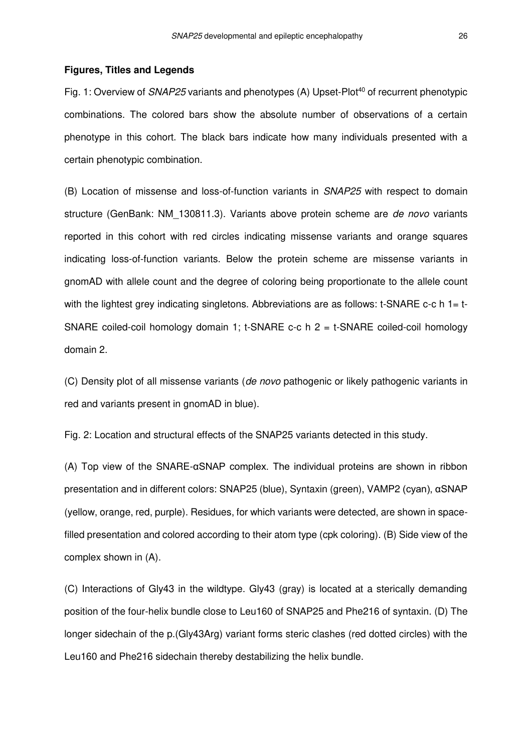#### **Figures, Titles and Legends**

Fig. 1: Overview of SNAP25 variants and phenotypes (A) Upset-Plot<sup>40</sup> of recurrent phenotypic combinations. The colored bars show the absolute number of observations of a certain phenotype in this cohort. The black bars indicate how many individuals presented with a certain phenotypic combination.

(B) Location of missense and loss-of-function variants in SNAP25 with respect to domain structure (GenBank: NM\_130811.3). Variants above protein scheme are de novo variants reported in this cohort with red circles indicating missense variants and orange squares indicating loss-of-function variants. Below the protein scheme are missense variants in gnomAD with allele count and the degree of coloring being proportionate to the allele count with the lightest grey indicating singletons. Abbreviations are as follows: t-SNARE c-c h  $1 = t$ -SNARE coiled-coil homology domain 1; t-SNARE c-c h  $2 = t$ -SNARE coiled-coil homology domain 2.

(C) Density plot of all missense variants (de novo pathogenic or likely pathogenic variants in red and variants present in gnomAD in blue).

Fig. 2: Location and structural effects of the SNAP25 variants detected in this study.

(A) Top view of the SNARE-αSNAP complex. The individual proteins are shown in ribbon presentation and in different colors: SNAP25 (blue), Syntaxin (green), VAMP2 (cyan), αSNAP (yellow, orange, red, purple). Residues, for which variants were detected, are shown in spacefilled presentation and colored according to their atom type (cpk coloring). (B) Side view of the complex shown in (A).

(C) Interactions of Gly43 in the wildtype. Gly43 (gray) is located at a sterically demanding position of the four-helix bundle close to Leu160 of SNAP25 and Phe216 of syntaxin. (D) The longer sidechain of the p.(Gly43Arg) variant forms steric clashes (red dotted circles) with the Leu160 and Phe216 sidechain thereby destabilizing the helix bundle.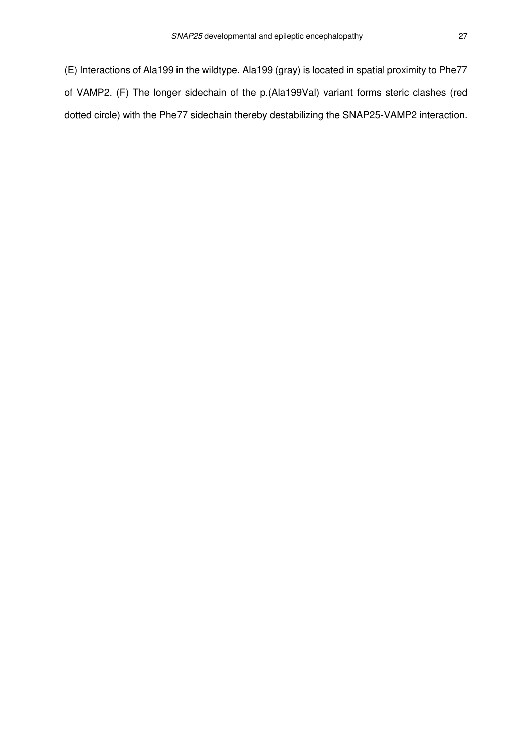(E) Interactions of Ala199 in the wildtype. Ala199 (gray) is located in spatial proximity to Phe77 of VAMP2. (F) The longer sidechain of the p.(Ala199Val) variant forms steric clashes (red dotted circle) with the Phe77 sidechain thereby destabilizing the SNAP25-VAMP2 interaction.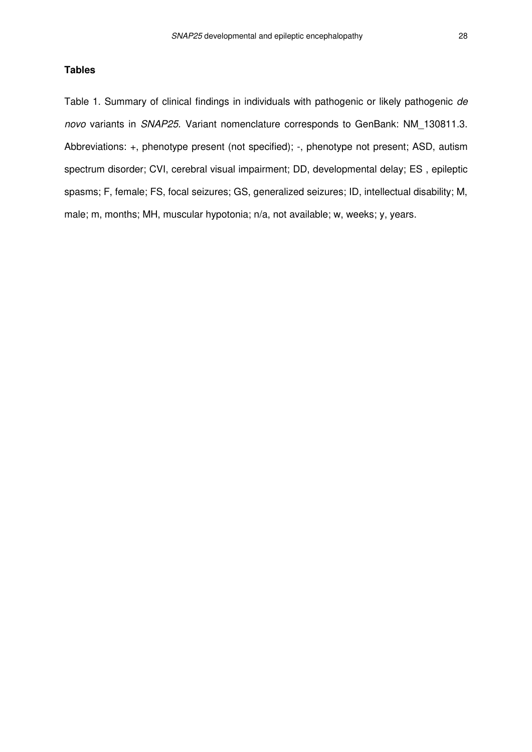#### **Tables**

Table 1. Summary of clinical findings in individuals with pathogenic or likely pathogenic de novo variants in SNAP25. Variant nomenclature corresponds to GenBank: NM\_130811.3. Abbreviations: +, phenotype present (not specified); -, phenotype not present; ASD, autism spectrum disorder; CVI, cerebral visual impairment; DD, developmental delay; ES , epileptic spasms; F, female; FS, focal seizures; GS, generalized seizures; ID, intellectual disability; M, male; m, months; MH, muscular hypotonia; n/a, not available; w, weeks; y, years.